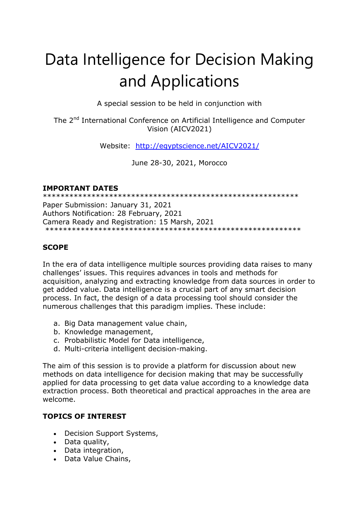# Data Intelligence for Decision Making and Applications

A special session to be held in conjunction with

The 2<sup>nd</sup> International Conference on Artificial Intelligence and Computer Vision (AICV2021)

Website: <http://egyptscience.net/AICV2021/>

June 28-30, 2021, Morocco

## **IMPORTANT DATES**

\*\*\*\*\*\*\*\*\*\*\*\*\*\*\*\*\*\*\*\*\*\*\*\*\*\*\*\*\*\*\*\*\*\*\*\*\*\*\*\*\*\*\*\*\*\*\*\*\*\*\*\*\*\*\*\*\*\* Paper Submission: January 31, 2021 Authors Notification: 28 February, 2021 Camera Ready and Registration: 15 Marsh, 2021 \*\*\*\*\*\*\*\*\*\*\*\*\*\*\*\*\*\*\*\*\*\*\*\*\*\*\*\*\*\*\*\*\*\*\*\*\*\*\*\*\*\*\*\*\*\*\*\*\*\*\*\*\*\*\*\*\*\*

## **SCOPE**

In the era of data intelligence multiple sources providing data raises to many challenges' issues. This requires advances in tools and methods for acquisition, analyzing and extracting knowledge from data sources in order to get added value. Data intelligence is a crucial part of any smart decision process. In fact, the design of a data processing tool should consider the numerous challenges that this paradigm implies. These include:

- a. Big Data management value chain,
- b. Knowledge management,
- c. Probabilistic Model for Data intelligence,
- d. Multi-criteria intelligent decision-making.

The aim of this session is to provide a platform for discussion about new methods on data intelligence for decision making that may be successfully applied for data processing to get data value according to a knowledge data extraction process. Both theoretical and practical approaches in the area are welcome.

### **TOPICS OF INTEREST**

- Decision Support Systems,
- Data quality,
- Data integration,
- Data Value Chains,